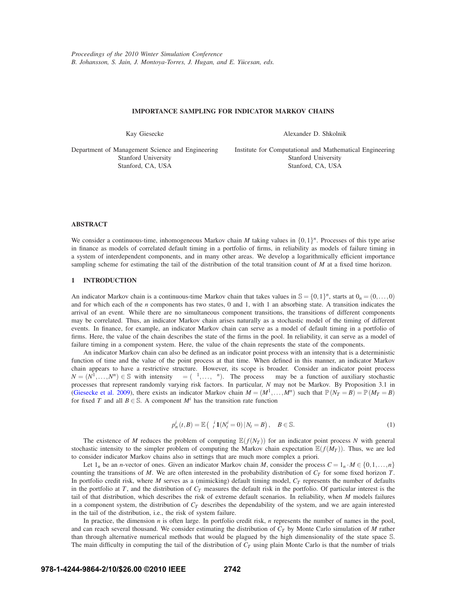# **IMPORTANCE SAMPLING FOR INDICATOR MARKOV CHAINS**

Kay Giesecke

Alexander D. Shkolnik

Department of Management Science and Engineering Stanford University Stanford, CA, USA

Institute for Computational and Mathematical Engineering Stanford University Stanford, CA, USA

## **ABSTRACT**

We consider a continuous-time, inhomogeneous Markov chain *M* taking values in  $\{0,1\}^n$ . Processes of this type arise in finance as models of correlated default timing in a portfolio of firms, in reliability as models of failure timing in a system of interdependent components, and in many other areas. We develop a logarithmically efficient importance sampling scheme for estimating the tail of the distribution of the total transition count of *M* at a fixed time horizon.

## **1 INTRODUCTION**

An indicator Markov chain is a continuous-time Markov chain that takes values in  $\mathbb{S} = \{0,1\}^n$ , starts at  $0_n = (0,\ldots,0)$ and for which each of the *n* components has two states, 0 and 1, with 1 an absorbing state. A transition indicates the arrival of an event. While there are no simultaneous component transitions, the transitions of different components may be correlated. Thus, an indicator Markov chain arises naturally as a stochastic model of the timing of different events. In finance, for example, an indicator Markov chain can serve as a model of default timing in a portfolio of firms. Here, the value of the chain describes the state of the firms in the pool. In reliability, it can serve as a model of failure timing in a component system. Here, the value of the chain represents the state of the components.

An indicator Markov chain can also be defined as an indicator point process with an intensity that is a deterministic function of time and the value of the point process at that time. When defined in this manner, an indicator Markov chain appears to have a restrictive structure. However, its scope is broader. Consider an indicator point process  $N = (N^1, \ldots, N^n) \in \mathbb{S}$  with intensity  $\lambda = (\lambda^1, \ldots, \lambda^n)$ . The process  $\lambda$  may be a function of auxiliary stochastic processes that represent randomly varying risk factors. In particular, *N* may not be Markov. By Proposition 3.1 in (Giesecke et al. 2009), there exists an indicator Markov chain  $M = (M^1, \ldots, M^n)$  such that  $\mathbb{P}(N_T = B) = \mathbb{P}(M_T = B)$ for fixed *T* and all  $B \in \mathbb{S}$ . A component  $M^i$  has the transition rate function

$$
p_n^i(t,B) = \mathbb{E}\left(\lambda_t^i \mathbf{1}(N_t^i = 0) \,|\, N_t = B\right), \quad B \in \mathbb{S}.
$$
 (1)

The existence of *M* reduces the problem of computing  $\mathbb{E}(f(N_T))$  for an indicator point process *N* with general stochastic intensity to the simpler problem of computing the Markov chain expectation  $\mathbb{E}(f(M_T))$ . Thus, we are led to consider indicator Markov chains also in settings that are much more complex a priori.

Let  $1_n$  be an *n*-vector of ones. Given an indicator Markov chain *M*, consider the process  $C = 1_n \cdot M \in \{0, 1, ..., n\}$ counting the transitions of  $M$ . We are often interested in the probability distribution of  $C_T$  for some fixed horizon  $T$ . In portfolio credit risk, where *M* serves as a (mimicking) default timing model,  $C_T$  represents the number of defaults in the portfolio at  $T$ , and the distribution of  $C_T$  measures the default risk in the portfolio. Of particular interest is the tail of that distribution, which describes the risk of extreme default scenarios. In reliability, when *M* models failures in a component system, the distribution of  $C_T$  describes the dependability of the system, and we are again interested in the tail of the distribution, i.e., the risk of system failure.

In practice, the dimension *n* is often large. In portfolio credit risk, *n* represents the number of names in the pool, and can reach several thousand. We consider estimating the distribution of *CT* by Monte Carlo simulation of *M* rather than through alternative numerical methods that would be plagued by the high dimensionality of the state space S. The main difficulty in computing the tail of the distribution of  $C_T$  using plain Monte Carlo is that the number of trials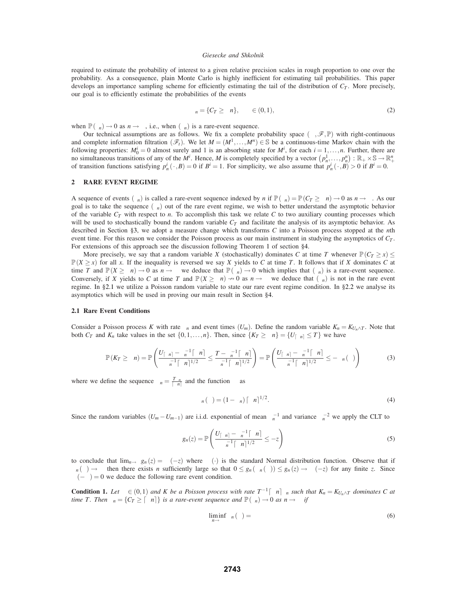required to estimate the probability of interest to a given relative precision scales in rough proportion to one over the probability. As a consequence, plain Monte Carlo is highly inefficient for estimating tail probabilities. This paper develops an importance sampling scheme for efficiently estimating the tail of the distribution of  $C_T$ . More precisely, our goal is to efficiently estimate the probabilities of the events

$$
\xi_n = \{ C_T \ge \mu n \}, \quad \mu \in (0, 1), \tag{2}
$$

when  $\mathbb{P}(\xi_n) \to 0$  as  $n \to \infty$ , i.e., when  $(\xi_n)$  is a rare-event sequence.

Our technical assumptions are as follows. We fix a complete probability space  $(\Omega, \mathcal{F}, \mathbb{P})$  with right-continuous and complete information filtration  $(\mathcal{F}_t)$ . We let  $M = (M^1, \ldots, M^n) \in \mathbb{S}$  be a continuous-time Markov chain with the following properties:  $M_0^i = 0$  almost surely and 1 is an absorbing state for  $M^i$ , for each  $i = 1, \ldots, n$ . Further, there are no simultaneous transitions of any of the *M<sup>i</sup>*. Hence, *M* is completely specified by a vector  $(p_n^1, \ldots, p_n^n) : \mathbb{R}_+ \times \mathbb{S} \to \mathbb{R}_+^n$ of transition functions satisfying  $p_n^i(\cdot, B) = 0$  if  $B^i = 1$ . For simplicity, we also assume that  $p_n^i(\cdot, B) > 0$  if  $B^i = 0$ .

#### **2 RARE EVENT REGIME**

A sequence of events  $(\xi_n)$  is called a rare-event sequence indexed by *n* if  $\mathbb{P}(\xi_n) = \mathbb{P}(C_T \ge \mu n) \to 0$  as  $n \to \infty$ . As our goal is to take the sequence  $(\xi_n)$  out of the rare event regime, we wish to better understand the asymptotic behavior of the variable  $C_T$  with respect to  $n$ . To accomplish this task we relate  $C$  to two auxiliary counting processes which will be used to stochastically bound the random variable  $C_T$  and facilitate the analysis of its asymptotic behavior. As described in Section §3, we adopt a measure change which transforms *C* into a Poisson process stopped at the *n*th event time. For this reason we consider the Poisson process as our main instrument in studying the asymptotics of  $C_T$ . For extensions of this approach see the discussion following Theorem 1 of section §4.

More precisely, we say that a random variable *X* (stochastically) dominates *C* at time *T* whenever  $\mathbb{P}(C_T \ge x) \le$  $\mathbb{P}(X \geq x)$  for all *x*. If the inequality is reversed we say *X* yields to *C* at time *T*. It follows that if *X* dominates *C* at time *T* and  $\mathbb{P}(X \ge \mu n) \to 0$  as  $n \to \infty$  we deduce that  $\mathbb{P}(\xi_n) \to 0$  which implies that  $(\xi_n)$  is a rare-event sequence. Conversely, if *X* yields to *C* at time *T* and  $\mathbb{P}(X \ge \mu n) \to 0$  as  $n \to \infty$  we deduce that  $(\xi_n)$  is not in the rare event regime. In §2.1 we utilize a Poisson random variable to state our rare event regime condition. In §2.2 we analyse its asymptotics which will be used in proving our main result in Section §4.

#### **2.1 Rare Event Conditions**

Consider a Poisson process *K* with rate  $\theta_n$  and event times  $(U_m)$ . Define the random variable  $K_n = K_{U_n \wedge T}$ . Note that both  $C_T$  and  $K_n$  take values in the set  $\{0,1,\ldots,n\}$ . Then, since  $\{K_T \geq \mu n\} = \{U_{\lceil \mu n \rceil} \leq T\}$  we have

$$
\mathbb{P}(K_T \geq \mu n) = \mathbb{P}\left(\frac{U_{\lceil \mu n \rceil} - \theta_n^{-1} \lceil \mu n \rceil}{\theta_n^{-1} \lceil \mu n \rceil^{1/2}} \leq \frac{T - \theta_n^{-1} \lceil \mu n \rceil}{\theta_n^{-1} \lceil \mu n \rceil^{1/2}}\right) = \mathbb{P}\left(\frac{U_{\lceil \mu n \rceil} - \theta_n^{-1} \lceil \mu n \rceil}{\theta_n^{-1} \lceil \mu n \rceil^{1/2}} \leq -\psi_n(v)\right) \tag{3}
$$

where we define the sequence  $v_n = \frac{T\theta_n}{|\mu n|}$  and the function  $\psi$  as

$$
\psi_n(\mathbf{v}) = (1 - \nu_n) \left[ \mu n \right]^{1/2}.
$$
\n(4)

Since the random variables  $(U_m - U_{m-1})$  are i.i.d. exponential of mean  $\theta_n^{-1}$  and variance  $\theta_n^{-2}$  we apply the CLT to

$$
g_n(z) = \mathbb{P}\left(\frac{U_{\lceil \mu n \rceil} - \theta_n^{-1} \lceil \mu n \rceil}{\theta_n^{-1} \lceil \mu n \rceil^{1/2}} \le -z\right)
$$
 (5)

to conclude that  $\lim_{n\to\infty} g_n(z) = \Phi(-z)$  where  $\Phi(\cdot)$  is the standard Normal distribution function. Observe that if  $\psi_n(v) \to \infty$  then there exists *n* sufficiently large so that  $0 \leq g_n(\psi_n(v)) \leq g_n(z) \to \Phi(-z)$  for any finite *z*. Since  $\Phi(-\infty) = 0$  we deduce the following rare event condition.

**Condition 1.** Let  $\mu \in (0,1)$  and K be a Poisson process with rate  $T^{-1}[\mu n]v_n$  such that  $K_n = K_{U_n \wedge T}$  dominates C at *time T. Then*  $\xi_n = \{C_T \geq \lceil \mu n \rceil\}$  *is a rare-event sequence and*  $\mathbb{P}(\xi_n) \to 0$  *as*  $n \to \infty$  *if* 

$$
\liminf_{n \to \infty} \psi_n(v) = \infty \tag{6}
$$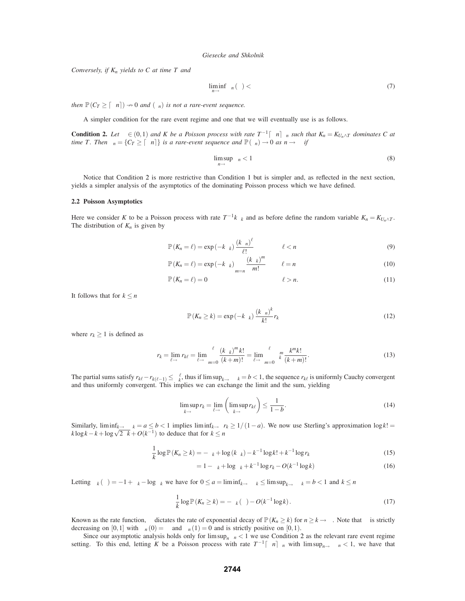*Conversely, if Kn yields to C at time T and*

$$
\liminf_{n \to \infty} \psi_n(v) < \infty \tag{7}
$$

*then*  $\mathbb{P}(C_T \geq \lceil \mu n \rceil) \rightarrow 0$  *and*  $(\xi_n)$  *is not a rare-event sequence.* 

A simpler condition for the rare event regime and one that we will eventually use is as follows.

**Condition 2.** Let  $\mu \in (0,1)$  and K be a Poisson process with rate  $T^{-1}[\mu n]v_n$  such that  $K_n = K_{U_n \wedge T}$  dominates C at *time T. Then*  $\xi_n = \{C_T \geq \lceil \mu n \rceil \}$  *is a rare-event sequence and*  $\mathbb{P}(\xi_n) \to 0$  *as*  $n \to \infty$  *if* 

$$
\limsup_{n \to \infty} v_n < 1 \tag{8}
$$

Notice that Condition 2 is more restrictive than Condition 1 but is simpler and, as reflected in the next section, yields a simpler analysis of the asymptotics of the dominating Poisson process which we have defined.

#### **2.2 Poisson Asymptotics**

Here we consider *K* to be a Poisson process with rate  $T^{-1}k v_k$  and as before define the random variable  $K_n = K_{U_n \wedge T}$ . The distribution of  $K_n$  is given by

$$
\mathbb{P}\left(K_n = \ell\right) = \exp\left(-k v_k\right) \frac{\left(k v_n\right)^{\ell}}{\ell!} \qquad \qquad \ell < n \tag{9}
$$

$$
\mathbb{P}(K_n = \ell) = \exp(-k v_k) \sum_{m=n}^{\infty} \frac{(k v_k)^m}{m!} \qquad \ell = n
$$
\n(10)

$$
\mathbb{P}(K_n = \ell) = 0 \qquad \qquad \ell > n. \tag{11}
$$

It follows that for  $k \leq n$ 

$$
\mathbb{P}\left(K_n \ge k\right) = \exp\left(-k v_k\right) \frac{\left(k v_n\right)^k}{k!} r_k \tag{12}
$$

where  $r_k \geq 1$  is defined as

$$
r_{k} = \lim_{\ell \to \infty} r_{k\ell} = \lim_{\ell \to \infty} \sum_{m=0}^{\ell} \frac{(k v_{k})^{m} k!}{(k+m)!} = \lim_{\ell \to \infty} \sum_{m=0}^{\ell} v_{k}^{m} \frac{k^{m} k!}{(k+m)!}.
$$
 (13)

The partial sums satisfy  $r_{k\ell} - r_{k(\ell-1)} \le v_k^{\ell}$ , thus if  $\limsup_{k \to \infty} v_k = b < 1$ , the sequence  $r_{k\ell}$  is uniformly Cauchy convergent and thus uniformly convergent. This implies we can exchange the limit and the sum, yielding

$$
\limsup_{k \to \infty} r_k = \lim_{\ell \to \infty} \left( \limsup_{k \to \infty} r_{k\ell} \right) \le \frac{1}{1 - b}.
$$
\n(14)

Similarly,  $\liminf_{k\to\infty} v_k = a \leq b < 1$  implies  $\liminf_{k\to\infty} r_k \geq 1/(1-a)$ . We now use Sterling's approximation  $\log k! =$  $k \log k - k + \log \sqrt{2\pi k} + O(k^{-1})$  to deduce that for  $k \le n$ 

$$
\frac{1}{k}\log \mathbb{P}(K_n \ge k) = -\nu_k + \log (k \nu_k) - k^{-1}\log k! + k^{-1}\log r_k \tag{15}
$$

$$
= 1 - v_k + \log v_k + k^{-1} \log r_k - O(k^{-1} \log k)
$$
\n(16)

Letting  $\varphi_k(v) = -1 + v_k - \log v_k$  we have for  $0 \le a = \liminf_{k \to \infty} v_k \le \limsup_{k \to \infty} v_k = b < 1$  and  $k \le n$ 

$$
\frac{1}{k}\log \mathbb{P}\left(K_n \geq k\right) = -\varphi_k\left(\upsilon\right) - O(k^{-1}\log k). \tag{17}
$$

Known as the rate function,  $\varphi$  dictates the rate of exponential decay of  $\mathbb{P}(K_n \geq k)$  for  $n \geq k \to \infty$ . Note that  $\varphi$  is strictly decreasing on [0,1] with  $\varphi_n(0) = \infty$  and  $\varphi_n(1) = 0$  and is strictly positive on [0,1].

Since our asymptotic analysis holds only for  $\limsup_n v_n < 1$  we use Condition 2 as the relevant rare event regime setting. To this end, letting *K* be a Poisson process with rate  $T^{-1}[\mu n]v_n$  with  $\limsup_{n\to\infty} v_n < 1$ , we have that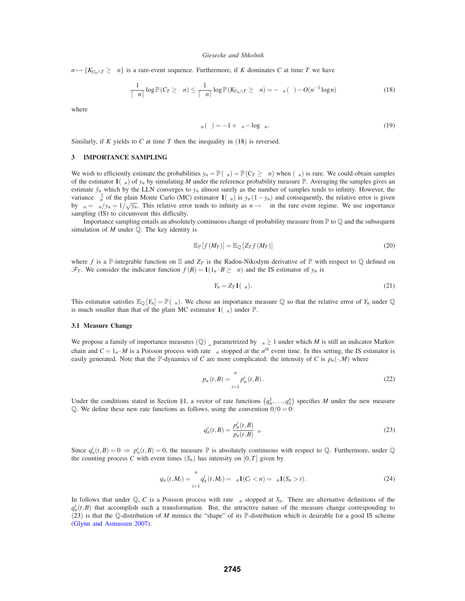$n \mapsto \{K_{U_n \wedge T} \geq \mu n\}$  is a rare-event sequence. Furthermore, if *K* dominates *C* at time *T* we have

$$
\frac{1}{\lceil \mu n \rceil} \log \mathbb{P}(C_T \ge \mu n) \le \frac{1}{\lceil \mu n \rceil} \log \mathbb{P}(K_{U_n \wedge T} \ge \mu n) = -\varphi_n(\nu) - O(n^{-1} \log n) \tag{18}
$$

where

$$
\varphi_n(v) = -1 + \upsilon_n - \log \upsilon_n. \tag{19}
$$

Similarly, if  $K$  yields to  $C$  at time  $T$  then the inequality in  $(18)$  is reversed.

#### **3 IMPORTANCE SAMPLING**

We wish to efficiently estimate the probabilities  $y_n = \mathbb{P}(\xi_n) = \mathbb{P}(C_T \ge \mu n)$  when  $(\xi_n)$  is rare. We could obtain samples of the estimator  $\mathbf{1}(\xi_n)$  of  $y_n$  by simulating *M* under the reference probability measure  $\mathbb{P}$ . Averaging the samples gives an estimate  $\hat{y}_n$  which by the LLN converges to  $y_n$  almost surely as the number of samples tends to infinity. However, the variance  $\sigma_n^2$  of the plain Monte Carlo (MC) estimator  $1(\xi_n)$  is  $y_n(1-y_n)$  and consequently, the relative error is given by  $\zeta_n = \frac{n}{\sqrt{y_n}} = \frac{1}{\sqrt{y_n}}$ . This relative error tends to infinity as  $n \to \infty$  in the rare event regime. We use importance sampling (IS) to circumvent this difficulty.

Importance sampling entails an absolutely continuous change of probability measure from  $\mathbb P$  to  $\mathbb Q$  and the subsequent simulation of *M* under Q. The key identity is

$$
\mathbb{E}_{\mathbb{P}}[f(M_T)] = \mathbb{E}_{\mathbb{Q}}[Z_T f(M_T)] \tag{20}
$$

where *f* is a P-integrable function on S and  $Z_T$  is the Radon-Nikodym derivative of P with respect to Q defined on  $\mathcal{F}_T$ . We consider the indicator function  $f(B) = \mathbf{1}(1_n \cdot B \ge \mu n)$  and the IS estimator of  $y_n$  is

$$
Y_n = Z_T \mathbf{1}(\xi_n). \tag{21}
$$

This estimator satisfies  $\mathbb{E}_{\mathbb{Q}}[Y_n] = \mathbb{P}(\xi_n)$ . We chose an importance measure  $\mathbb{Q}$  so that the relative error of  $Y_n$  under  $\mathbb{Q}$ is much smaller than that of the plain MC estimator  $\mathbf{1}(\xi_n)$  under  $\mathbb{P}$ .

#### **3.1 Measure Change**

We propose a family of importance measures  $(\mathbb{Q})_{\theta_n}$  parametrized by  $\theta_n \geq 1$  under which *M* is still an indicator Markov chain and  $C = 1_n \cdot M$  is a Poisson process with rate  $\theta_n$  stopped at the  $n^{th}$  event time. In this setting, the IS estimator is easily generated. Note that the P-dynamics of *C* are more complicated: the intensity of *C* is  $p_n(\cdot, M)$  where

$$
p_n(t,B) = \sum_{i=1}^n p_n^i(t,B).
$$
 (22)

Under the conditions stated in Section §1, a vector of rate functions  $(q_n^1, \ldots, q_n^n)$  specifies *M* under the new measure Q. We define these new rate functions as follows, using the convention  $0/0 = 0$ :

$$
q_n^i(t,B) = \frac{p_n^i(t,B)}{p_n(t,B)} \theta_n.
$$
\n(23)

Since  $q_n^i(t, B) = 0 \Rightarrow p_n^i(t, B) = 0$ , the measure  $\mathbb P$  is absolutely continuous with respect to  $\mathbb Q$ . Furthermore, under  $\mathbb Q$ the counting process *C* with event times  $(S_n)$  has intensity on  $[0, T]$  given by

$$
q_n(t, M_t) = \sum_{i=1}^n q_n^i(t, M_t) = \theta_n \mathbf{1}(C_t < n) = \theta_n \mathbf{1}(S_n > t).
$$
 (24)

In follows that under  $\mathbb{Q}$ , *C* is a Poisson process with rate  $\theta_n$  stopped at  $S_n$ . There are alternative definitions of the  $q_n^i(t, B)$  that accomplish such a transformation. But, the attractive nature of the measure change corresponding to (23) is that the Q-distribution of *M* mimics the "shape" of its P-distribution which is desirable for a good IS scheme (Glynn and Asmussen 2007).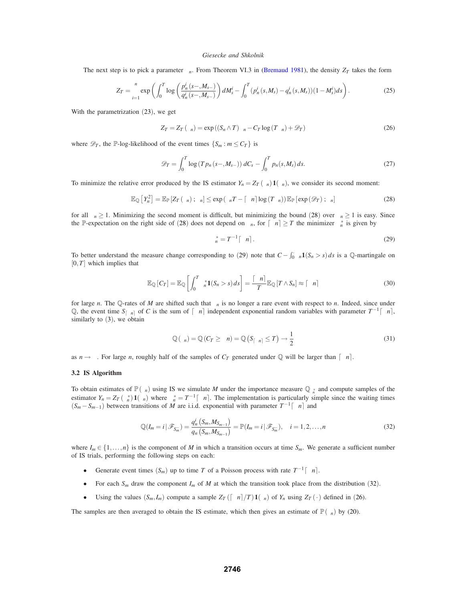The next step is to pick a parameter  $\theta_n$ . From Theorem VI.3 in (Bremaud 1981), the density  $Z_T$  takes the form

$$
Z_T = \prod_{i=1}^n \exp\left(\int_0^T \log\left(\frac{p_n^i(s-,M_{s-})}{q_n^i(s-,M_{s-})}\right) dM_s^i - \int_0^T (p_n^i(s,M_s) - q_n^i(s,M_s))(1-M_s^i) ds\right).
$$
 (25)

With the parametrization (23), we get

$$
Z_T = Z_T(\theta_n) = \exp((S_n \wedge T)\theta_n - C_T \log(T\theta_n) + \mathcal{D}_T)
$$
\n(26)

where  $\mathscr{D}_T$ , the P-log-likelihood of the event times  $\{S_m : m \leq C_T\}$  is

$$
\mathscr{D}_T = \int_0^T \log\left(T p_n\left(s - , M_{s-}\right)\right) dC_s - \int_0^T p_n(s, M_s) ds. \tag{27}
$$

To minimize the relative error produced by the IS estimator  $Y_n = Z_T(\theta_n) \mathbf{1}(\xi_n)$ , we consider its second moment:

$$
\mathbb{E}_{\mathbb{Q}}\left[Y_n^2\right] = \mathbb{E}_{\mathbb{P}}\left[Z_T\left(\theta_n\right); \xi_n\right] \leq \exp\left(\theta_n T - \left\lceil \mu n \right\rceil \log\left(T\theta_n\right)\right) \mathbb{E}_{\mathbb{P}}\left[\exp\left(\mathscr{D}_T\right); \xi_n\right] \tag{28}
$$

for all  $\theta_n \ge 1$ . Minimizing the second moment is difficult, but minimizing the bound (28) over  $\theta_n \ge 1$  is easy. Since the P-expectation on the right side of (28) does not depend on  $\theta_n$ , for  $\lceil \mu n \rceil \geq T$  the minimizer  $\theta_n^*$  is given by

$$
\theta_n^* = T^{-1} \lceil \mu n \rceil. \tag{29}
$$

To better understand the measure change corresponding to (29) note that  $C - \int_0^1 \theta_n \mathbf{1}(S_n > s) ds$  is a Q-martingale on [0,*T*] which implies that

$$
\mathbb{E}_{\mathbb{Q}}\left[C_{T}\right] = \mathbb{E}_{\mathbb{Q}}\left[\int_{0}^{T} \theta_{n}^{*} \mathbf{1}(S_{n} > s) \, ds\right] = \frac{\lceil \mu n \rceil}{T} \mathbb{E}_{\mathbb{Q}}\left[T \wedge S_{n}\right] \approx \lceil \mu n \rceil \tag{30}
$$

for large *n*. The Q-rates of *M* are shifted such that  $\xi_n$  is no longer a rare event with respect to *n*. Indeed, since under Q, the event time  $S_{\lceil \mu n \rceil}$  of *C* is the sum of  $\lceil \mu n \rceil$  independent exponential random variables with parameter  $T^{-1} \lceil \mu n \rceil$ , similarly to (3), we obtain

$$
\mathbb{Q}(\xi_n) = \mathbb{Q}(C_T \ge \mu n) = \mathbb{Q}\left(S_{\lceil \mu n \rceil} \le T\right) \to \frac{1}{2}
$$
\n(31)

as  $n \rightarrow \infty$ . For large *n*, roughly half of the samples of  $C_T$  generated under  $\mathbb Q$  will be larger than  $\lceil \mu n \rceil$ .

## **3.2 IS Algorithm**

To obtain estimates of  $\mathbb{P}(\xi_n)$  using IS we simulate *M* under the importance measure  $\mathbb{Q}_{\theta_n^*}$  and compute samples of the estimator  $Y_n = Z_T(\theta_n^*) \mathbf{1}(\xi_n)$  where  $\theta_n^* = T^{-1}[\mu_n]$ . The implementation is particularly simple since the waiting times  $(S_m - S_{m-1})$  between transitions of *M* are i.i.d. exponential with parameter  $T^{-1}[\mu n]$  and

$$
\mathbb{Q}(I_m = i \,|\, \mathscr{F}_{S_m^-}) = \frac{q_n^i \left( S_m, M_{S_{m-1}} \right)}{q_n \left( S_m, M_{S_{m-1}} \right)} = \mathbb{P}(I_m = i \,|\, \mathscr{F}_{S_m^-}), \quad i = 1, 2, \dots, n
$$
\n(32)

where  $I_m \in \{1, \ldots, n\}$  is the component of *M* in which a transition occurs at time  $S_m$ . We generate a sufficient number of IS trials, performing the following steps on each:

- Generate event times  $(S_m)$  up to time *T* of a Poisson process with rate  $T^{-1}[\mu n]$ .
- For each  $S_m$  draw the component  $I_m$  of *M* at which the transition took place from the distribution (32).
- Using the values  $(S_m, I_m)$  compute a sample  $Z_T(\lceil \mu n \rceil /T) \mathbf{1}(\xi_n)$  of  $Y_n$  using  $Z_T(\cdot)$  defined in (26).

The samples are then averaged to obtain the IS estimate, which then gives an estimate of  $\mathbb{P}(\xi_n)$  by (20).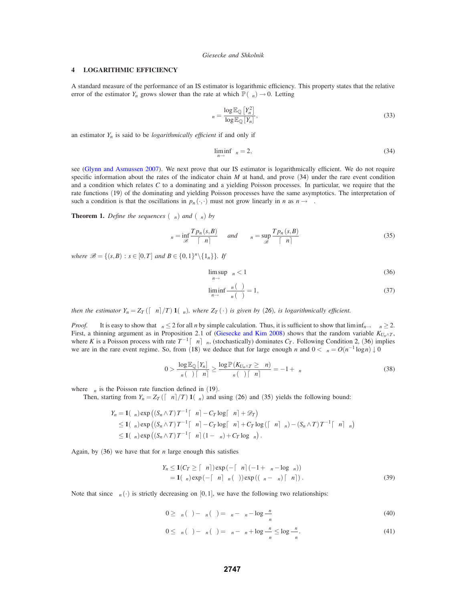## **4 LOGARITHMIC EFFICIENCY**

A standard measure of the performance of an IS estimator is logarithmic efficiency. This property states that the relative error of the estimator  $Y_n$  grows slower than the rate at which  $\mathbb{P}(\xi_n) \to 0$ . Letting

$$
\rho_n = \frac{\log \mathbb{E}_{\mathbb{Q}}\left[Y_n^2\right]}{\log \mathbb{E}_{\mathbb{Q}}\left[Y_n\right]},\tag{33}
$$

an estimator  $Y_n$  is said to be *logarithmically efficient* if and only if

$$
\liminf_{n \to \infty} \rho_n = 2,\tag{34}
$$

see (Glynn and Asmussen 2007). We next prove that our IS estimator is logarithmically efficient. We do not require specific information about the rates of the indicator chain  $M$  at hand, and prove  $(34)$  under the rare event condition and a condition which relates *C* to a dominating and a yielding Poisson processes. In particular, we require that the rate functions (19) of the dominating and yielding Poisson processes have the same asymptotics. The interpretation of such a condition is that the oscillations in  $p_n(\cdot, \cdot)$  must not grow linearly in *n* as  $n \to \infty$ .

**Theorem 1.** *Define the sequences*  $(\alpha_n)$  *and*  $(\beta_n)$  *by* 

$$
\alpha_n = \inf_{\mathcal{B}} \frac{Tp_n(s, B)}{\lceil \mu n \rceil} \quad \text{and} \quad \beta_n = \sup_{\mathcal{B}} \frac{Tp_n(s, B)}{\lceil \mu n \rceil} \tag{35}
$$

*where*  $\mathcal{B} = \{(s, B) : s \in [0, T] \text{ and } B \in \{0, 1\}^n \setminus \{1_n\} \}$ . If

$$
\limsup_{n \to \infty} \beta_n < 1 \tag{36}
$$

$$
\liminf_{n \to \infty} \frac{\varphi_n(\beta)}{\varphi_n(\alpha)} = 1,
$$
\n(37)

*then the estimator*  $Y_n = Z_T (\lceil \mu n \rceil / T) \mathbf{1}(\xi_n)$ *, where*  $Z_T(\cdot)$  *is given by* (26)*, is logarithmically efficient.* 

*Proof.* It is easy to show that  $\rho_n \leq 2$  for all *n* by simple calculation. Thus, it is sufficient to show that liminf<sub>*n*→∞</sub>  $\rho_n \geq 2$ . First, a thinning argument as in Proposition 2.1 of (Giesecke and Kim 2008) shows that the random variable  $K_{U_n \wedge T}$ , where *K* is a Poisson process with rate  $T^{-1}[\mu n]\beta_n$ , (stochastically) dominates  $C_T$ . Following Condition 2, (36) implies we are in the rare event regime. So, from (18) we deduce that for large enough *n* and  $0 < \delta_n = O(n^{-1} \log n) \downarrow 0$ 

$$
0 > \frac{\log \mathbb{E}_{\mathbb{Q}}[Y_n]}{\varphi_n(\alpha) \lceil \mu n \rceil} \ge \frac{\log \mathbb{P}(K_{U_n \wedge T} \ge \mu n)}{\varphi_n(\alpha) \lceil \mu n \rceil} = -1 + \delta_n \tag{38}
$$

where  $\varphi_n$  is the Poisson rate function defined in (19).

Then, starting from  $Y_n = Z_T \left( \frac{m}{n} \right) / T \left( \frac{z}{n} \right)$  and using (26) and (35) yields the following bound:

$$
Y_n = \mathbf{1}(\xi_n) \exp\left((S_n \wedge T) T^{-1} \lceil \mu n \rceil - C_T \log \lceil \mu n \rceil + \mathcal{D}_T\right)
$$
  
\n
$$
\leq \mathbf{1}(\xi_n) \exp\left((S_n \wedge T) T^{-1} \lceil \mu n \rceil - C_T \log \lceil \mu n \rceil + C_T \log \left(\lceil \mu n \rceil \beta_n\right) - (S_n \wedge T) T^{-1} \lceil \mu n \rceil \alpha_n\right)
$$
  
\n
$$
\leq \mathbf{1}(\xi_n) \exp\left((S_n \wedge T) T^{-1} \lceil \mu n \rceil (1 - \alpha_n) + C_T \log \beta_n\right).
$$

Again, by  $(36)$  we have that for *n* large enough this satisfies

$$
Y_n \leq \mathbf{1}(C_T \geq \lceil \mu n \rceil) \exp(-\lceil \mu n \rceil (-1 + \alpha_n - \log \beta_n))
$$
  
=  $\mathbf{1}(\xi_n) \exp(-\lceil \mu n \rceil \varphi_n(\beta)) \exp((\beta_n - \alpha_n) \lceil \mu n \rceil).$  (39)

Note that since  $\varphi_n(\cdot)$  is strictly decreasing on [0,1], we have the following two relationships:

$$
0 \ge \varphi_n(\beta) - \varphi_n(\alpha) = \beta_n - \alpha_n - \log \frac{\beta_n}{\alpha_n}
$$
\n(40)

$$
0 \leq \varphi_n(\alpha) - \varphi_n(\beta) = \alpha_n - \beta_n + \log \frac{\beta_n}{\alpha_n} \leq \log \frac{\beta_n}{\alpha_n}.
$$
\n(41)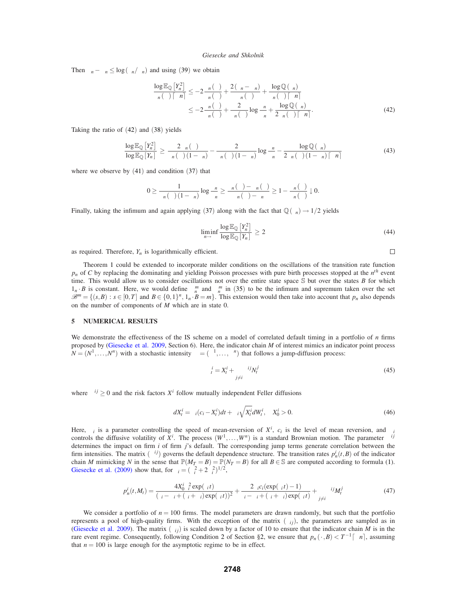Then  $\beta_n - \alpha_n \leq \log(\beta_n/\alpha_n)$  and using (39) we obtain

$$
\frac{\log \mathbb{E}_{\mathbb{Q}}\left[Y_{n}^{2}\right]}{\varphi_{n}(\alpha)\left\lceil \mu n\right\rceil} \leq -2 \frac{\varphi_{n}(\beta)}{\varphi_{n}(\alpha)} + \frac{2\left(\beta_{n} - \alpha_{n}\right)}{\varphi_{n}(\alpha)} + \frac{\log \mathbb{Q}\left(\xi_{n}\right)}{\varphi_{n}(\alpha)\left\lceil \mu n \right\rceil} \n\leq -2 \frac{\varphi_{n}(\beta)}{\varphi_{n}(\alpha)} + \frac{2}{\varphi_{n}(\alpha)} \log \frac{\beta_{n}}{\alpha_{n}} + \frac{\log \mathbb{Q}\left(\xi_{n}\right)}{2\varphi_{n}(\alpha)\left\lceil \mu n \right\rceil}.
$$
\n(42)

Taking the ratio of (42) and (38) yields

$$
\frac{\log \mathbb{E}_{\mathbb{Q}}\left[Y_{n}\right]}{\log \mathbb{E}_{\mathbb{Q}}\left[Y_{n}\right]} \geq \frac{2 \varphi_{n}(\beta)}{\varphi_{n}(\alpha)(1-\delta_{n})} - \frac{2}{\varphi_{n}(\alpha)(1-\delta_{n})} \log \frac{\beta_{n}}{\alpha_{n}} - \frac{\log \mathbb{Q}\left(\xi_{n}\right)}{2\varphi_{n}(\alpha)(1-\delta_{n})\left[\mu n\right]} \tag{43}
$$

where we observe by  $(41)$  and condition  $(37)$  that

$$
0\geq \frac{1}{\phi_n\left(\alpha\right)\left(1-\delta_n\right)}\log \frac{\beta_n}{\alpha_n}\geq \frac{\phi_n\left(\alpha\right)-\phi_n\left(\beta\right)}{\phi_n\left(\alpha\right)-\delta_n}\geq 1-\frac{\phi_n\left(\beta\right)}{\phi_n\left(\alpha\right)}\downarrow 0.
$$

Finally, taking the infimum and again applying (37) along with the fact that  $\mathbb{Q}(\xi_n) \to 1/2$  yields

$$
\liminf_{n \to \infty} \frac{\log \mathbb{E}_{\mathbb{Q}}\left[Y_n^2\right]}{\log \mathbb{E}_{\mathbb{Q}}\left[Y_n\right]} \ge 2\tag{44}
$$

 $\Box$ 

as required. Therefore,  $Y_n$  is logarithmically efficient.

Theorem 1 could be extended to incorporate milder conditions on the oscillations of the transition rate function  $p_n$  of *C* by replacing the dominating and yielding Poisson processes with pure birth processes stopped at the  $n^{th}$  event time. This would allow us to consider oscillations not over the entire state space S but over the states *B* for which  $1_n \cdot B$  is constant. Here, we would define  $\alpha_n^m$  and  $\beta_n^m$  in (35) to be the infimum and supremum taken over the set  $\mathscr{B}^m = \{(s, B) : s \in [0, T] \text{ and } B \in \{0, 1\}^n, 1, i \in B = m\}.$  This extension would then take into account that  $p_n$  also depends on the number of components of *M* which are in state 0.

## **5 NUMERICAL RESULTS**

We demonstrate the effectiveness of the IS scheme on a model of correlated default timing in a portfolio of *n* firms proposed by (Giesecke et al. 2009, Section 6). Here, the indicator chain *M* of interest mimics an indicator point process  $N = (N^1, \ldots, N^n)$  with a stochastic intensity  $\lambda = (\lambda^1, \ldots, \lambda^n)$  that follows a jump-diffusion process:

$$
\lambda_t^i = X_t^i + \sum_{j \neq i} \beta^{ij} N_t^j \tag{45}
$$

where  $\beta^{ij} \geq 0$  and the risk factors  $X^i$  follow mutually independent Feller diffusions

$$
dX_t^i = \kappa_i (c_i - X_t^i) dt + \sigma_i \sqrt{X_t^i} dW_t^i, \quad X_0^i > 0.
$$
\n
$$
(46)
$$

Here,  $\kappa_i$  is a parameter controlling the speed of mean-reversion of  $X^i$ ,  $c_i$  is the level of mean reversion, and  $\sigma_i$ controls the diffusive volatility of  $X^i$ . The process  $(W^1, \ldots, W^n)$  is a standard Brownian motion. The parameter  $\beta^{ij}$ determines the impact on firm *i* of firm *j*'s default. The corresponding jump terms generate correlation between the firm intensities. The matrix  $(\beta^{ij})$  governs the default dependence structure. The transition rates  $p_n^i(t, B)$  of the indicator chain *M* mimicking *N* in the sense that  $\mathbb{P}(M_T = B) = \mathbb{P}(N_T = B)$  for all  $B \in \mathbb{S}$  are computed according to formula (1). Giesecke et al. (2009) show that, for  $\gamma_i = (\kappa_i^2 + 2\sigma_i^2)^{1/2}$ ,

$$
p_n^i(t, M_t) = \frac{4X_0^i \gamma_i^2 \exp(\gamma_t t)}{(\gamma_i - \kappa_i + (\gamma_i + \kappa_i) \exp(\gamma_t t))^2} + \frac{2\kappa_i c_i (\exp(\gamma_t t) - 1)}{\gamma_i - \kappa_i + (\gamma_i + \kappa_i) \exp(\gamma_t t)} + \sum_{j \neq i} \beta^{ij} M_t^j
$$
(47)

We consider a portfolio of  $n = 100$  firms. The model parameters are drawn randomly, but such that the portfolio represents a pool of high-quality firms. With the exception of the matrix  $(\beta_{ij})$ , the parameters are sampled as in (Giesecke et al. 2009). The matrix  $(\beta_{ij})$  is scaled down by a factor of 10 to ensure that the indicator chain *M* is in the rare event regime. Consequently, following Condition 2 of Section §2, we ensure that  $p_n(\cdot, B) < T^{-1}[\mu n]$ , assuming that  $n = 100$  is large enough for the asymptotic regime to be in effect.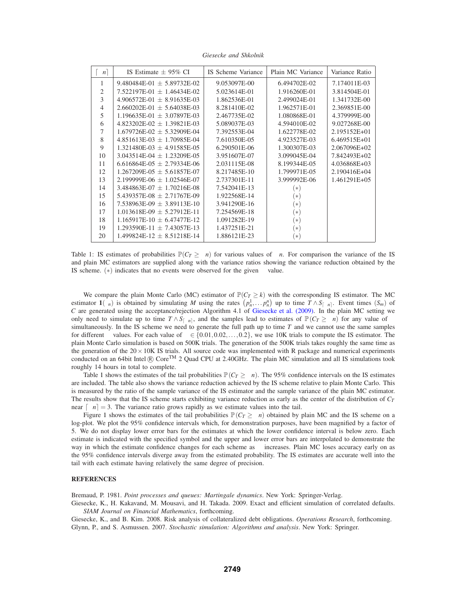| $\mu$ n        | IS Estimate $\pm$ 95% CI           | IS Scheme Variance | Plain MC Variance | Variance Ratio |
|----------------|------------------------------------|--------------------|-------------------|----------------|
|                | 9.480484E-01 $\pm$ 5.89732E-02     | 9.053097E-00       | 6.494702E-02      | 7.174011E-03   |
| $\overline{2}$ | $7.522197E-01 \pm 1.46434E-02$     | 5.023614E-01       | 1.916260E-01      | 3.814504E-01   |
| 3              | $4.906572E-01 \pm 8.91635E-03$     | 1.862536E-01       | 2.499024E-01      | 1.341732E-00   |
| 4              | $2.660202E - 01 \pm 5.64038E - 03$ | 8.281410E-02       | 1.962571E-01      | 2.369851E-00   |
| 5              | $1.196635E-01 \pm 3.07897E-03$     | 2.467735E-02       | 1.080868E-01      | 4.379999E-00   |
| 6              | $4.823202E-02 \pm 1.39821E-03$     | 5.089037E-03       | 4.594010E-02      | 9.027268E-00   |
| 7              | $1.679726E-02 + 5.32909E-04$       | 7.392553E-04       | 1.622778E-02      | 2.195152E+01   |
| 8              | $4.851613E-03 \pm 1.70985E-04$     | 7.610350E-05       | 4.923527E-03      | 6.469515E+01   |
| 9              | $1.321480E-03 \pm 4.91585E-05$     | 6.290501E-06       | 1.300307E-03      | 2.067096E+02   |
| 10             | $3.043514E-04 \pm 1.23209E-05$     | 3.951607E-07       | 3.099045E-04      | 7.842493E+02   |
| 11             | 6.616864E-05 $\pm$ 2.79334E-06     | 2.031115E-08       | 8.199344E-05      | 4.036868E+03   |
| 12             | $1.267209E-05 \pm 5.61857E-07$     | 8.217485E-10       | 1.799971E-05      | 2.190416E+04   |
| 13             | $2.199999E-06 \pm 1.02546E-07$     | 2.737301E-11       | 3.999992E-06      | 1.461291E+05   |
| 14             | $3.484863E-07 + 1.70216E-08$       | 7.542041E-13       | $(\ast)$          |                |
| 15             | $5.439357E-08 \pm 2.71767E-09$     | 1.922568E-14       | $[\ast]$          |                |
| 16             | $7.538963E-09 \pm 3.89113E-10$     | 3.941290E-16       | $\ast$            |                |
| 17             | $1.013618E-09 \pm 5.27912E-11$     | 7.254569E-18       | ิ∗                |                |
| 18             | $1.165917E-10 \pm 6.47477E-12$     | 1.091282E-19       | $[\ast]$          |                |
| 19             | $1.293590E-11 \pm 7.43057E-13$     | 1.437251E-21       | $[\ast]$          |                |
| 20             | $1.499824E-12 \pm 8.51218E-14$     | 1.886121E-23       | ี่∗่              |                |

*Giesecke and Shkolnik*

Table 1: IS estimates of probabilities  $\mathbb{P}(C_T \geq \mu n)$  for various values of  $\mu n$ . For comparison the variance of the IS and plain MC estimators are supplied along with the variance ratios showing the variance reduction obtained by the IS scheme.  $(*)$  indicates that no events were observed for the given  $\mu$  value.

We compare the plain Monte Carlo (MC) estimator of  $\mathbb{P}(C_T \ge k)$  with the corresponding IS estimator. The MC estimator  $\mathbf{1}(\xi_n)$  is obtained by simulating *M* using the rates  $(p_n^1, \ldots, p_n^n)$  up to time  $T \wedge S_{\lceil \mu n \rceil}$ . Event times  $(S_m)$  of *C* are generated using the acceptance/rejection Algorithm 4.1 of Giesecke et al. (2009). In the plain MC setting we only need to simulate up to time  $T \wedge S_{\lceil \mu n \rceil}$ , and the samples lead to estimates of  $\mathbb{P}(C_T \ge \mu n)$  for any value of  $\mu$ simultaneously. In the IS scheme we need to generate the full path up to time *T* and we cannot use the same samples for different  $\mu$  values. For each value of  $\mu \in \{0.01, 0.02, \ldots, 0.2\}$ , we use 10K trials to compute the IS estimator. The plain Monte Carlo simulation is based on 500K trials. The generation of the 500K trials takes roughly the same time as the generation of the  $20 \times 10$ K IS trials. All source code was implemented with R package and numerical experiments conducted on an 64bit Intel ® Core<sup>TM</sup> 2 Quad CPU at 2.40GHz. The plain MC simulation and all IS simulations took roughly 14 hours in total to complete.

Table 1 shows the estimates of the tail probabilities  $\mathbb{P}(C_T \geq \mu n)$ . The 95% confidence intervals on the IS estimates are included. The table also shows the variance reduction achieved by the IS scheme relative to plain Monte Carlo. This is measured by the ratio of the sample variance of the IS estimator and the sample variance of the plain MC estimator. The results show that the IS scheme starts exhibiting variance reduction as early as the center of the distribution of *CT* near  $[\mu n] = 3$ . The variance ratio grows rapidly as we estimate values into the tail.

Figure 1 shows the estimates of the tail probabilities  $\mathbb{P}(C_T \geq \mu n)$  obtained by plain MC and the IS scheme on a log-plot. We plot the 95% confidence intervals which, for demonstration purposes, have been magnified by a factor of 5. We do not display lower error bars for the estimates at which the lower confidence interval is below zero. Each estimate is indicated with the specified symbol and the upper and lower error bars are interpolated to demonstrate the way in which the estimate confidence changes for each scheme as  $\mu$  increases. Plain MC loses accuracy early on as the 95% confidence intervals diverge away from the estimated probability. The IS estimates are accurate well into the tail with each estimate having relatively the same degree of precision.

## **REFERENCES**

Bremaud, P. 1981. *Point processes and queues: Martingale dynamics*. New York: Springer-Verlag.

Giesecke, K., H. Kakavand, M. Mousavi, and H. Takada. 2009. Exact and efficient simulation of correlated defaults. *SIAM Journal on Financial Mathematics*, forthcoming.

Giesecke, K., and B. Kim. 2008. Risk analysis of collateralized debt obligations. *Operations Research*, forthcoming. Glynn, P., and S. Asmussen. 2007. *Stochastic simulation: Algorithms and analysis*. New York: Springer.